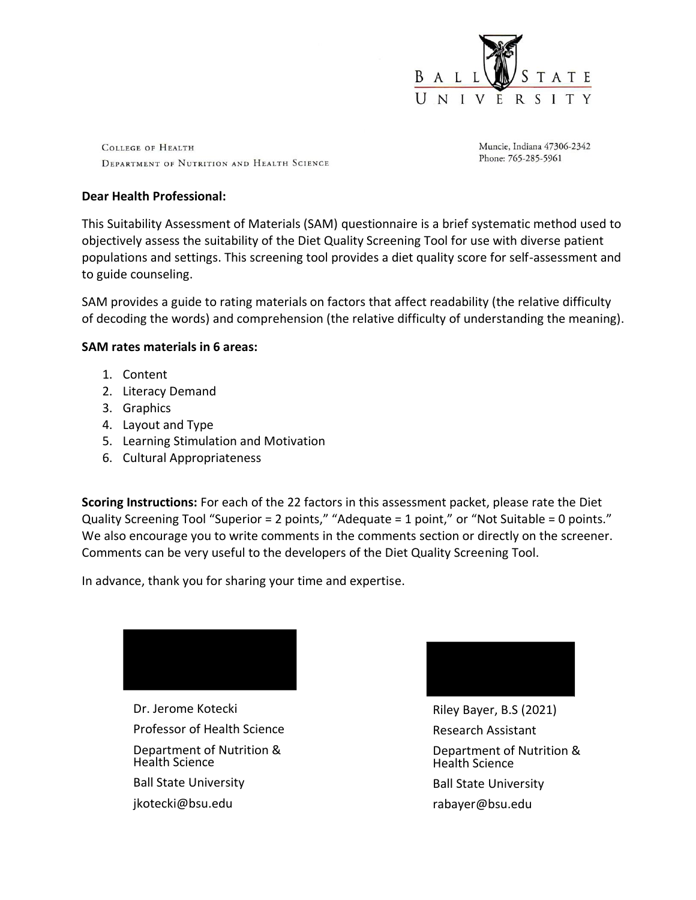

COLLEGE OF HEALTH DEPARTMENT OF NUTRITION AND HEALTH SCIENCE Muncie, Indiana 47306-2342 Phone: 765-285-5961

#### **Dear Health Professional:**

This Suitability Assessment of Materials (SAM) questionnaire is a brief systematic method used to objectively assess the suitability of the Diet Quality Screening Tool for use with diverse patient populations and settings. This screening tool provides a diet quality score for self-assessment and to guide counseling.

SAM provides a guide to rating materials on factors that affect readability (the relative difficulty of decoding the words) and comprehension (the relative difficulty of understanding the meaning).

#### **SAM rates materials in 6 areas:**

- 1. Content
- 2. Literacy Demand
- 3. Graphics
- 4. Layout and Type
- 5. Learning Stimulation and Motivation
- 6. Cultural Appropriateness

**Scoring Instructions:** For each of the 22 factors in this assessment packet, please rate the Diet Quality Screening Tool "Superior = 2 points," "Adequate = 1 point," or "Not Suitable = 0 points." We also encourage you to write comments in the comments section or directly on the screener. Comments can be very useful to the developers of the Diet Quality Screening Tool.

In advance, thank you for sharing your time and expertise.



Dr. Jerome Kotecki Professor of Health Science Department of Nutrition & Health Science Ball State University jkotecki@bsu.edu



Riley Bayer, B.S (2021) Research Assistant Department of Nutrition & Health Science Ball State University rabayer@bsu.edu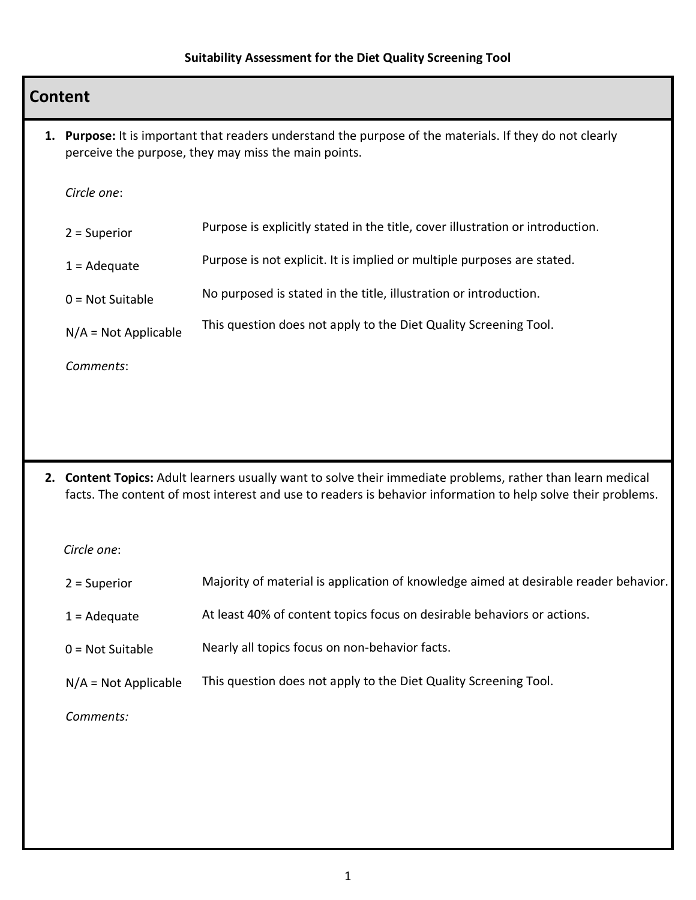### **Content**

**1. Purpose:** It is important that readers understand the purpose of the materials. If they do not clearly perceive the purpose, they may miss the main points.

*Circle one*:

| $2 =$ Superior         | Purpose is explicitly stated in the title, cover illustration or introduction. |
|------------------------|--------------------------------------------------------------------------------|
| $1 = \text{Adequate}$  | Purpose is not explicit. It is implied or multiple purposes are stated.        |
| $0 = Not$ Suitable     | No purposed is stated in the title, illustration or introduction.              |
| $N/A = Not Applicable$ | This question does not apply to the Diet Quality Screening Tool.               |
|                        |                                                                                |

*Comments*:

**2. Content Topics:** Adult learners usually want to solve their immediate problems, rather than learn medical facts. The content of most interest and use to readers is behavior information to help solve their problems.

| $2 =$ Superior         | Majority of material is application of knowledge aimed at desirable reader behavior. |
|------------------------|--------------------------------------------------------------------------------------|
| $1 =$ Adequate         | At least 40% of content topics focus on desirable behaviors or actions.              |
| $0 = Not$ Suitable     | Nearly all topics focus on non-behavior facts.                                       |
| $N/A = Not Applicable$ | This question does not apply to the Diet Quality Screening Tool.                     |
| Comments:              |                                                                                      |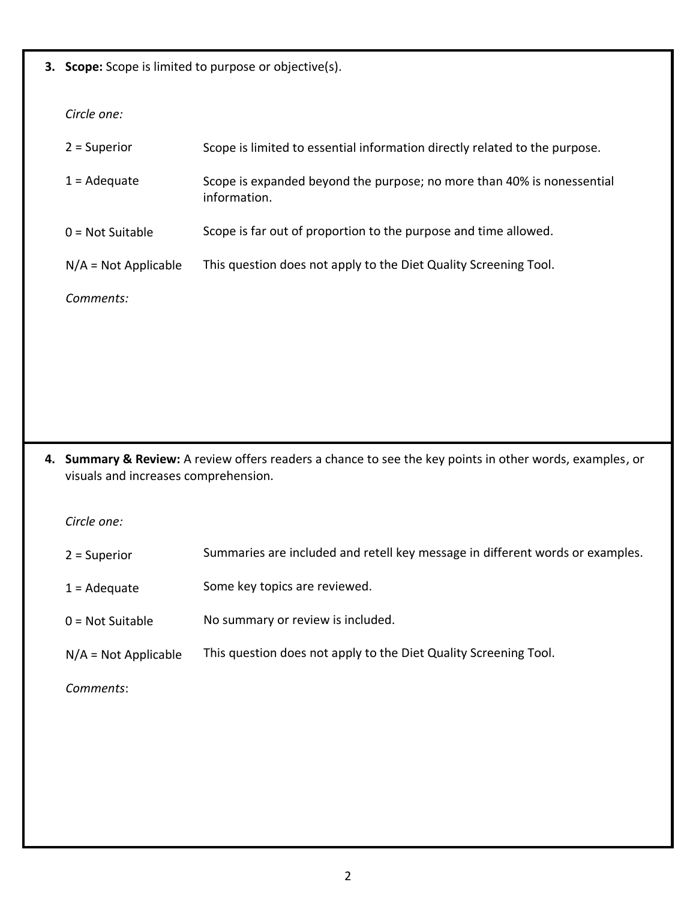**3. Scope:** Scope is limited to purpose or objective(s).

*Circle one:* 

| $2 =$ Superior         | Scope is limited to essential information directly related to the purpose.             |
|------------------------|----------------------------------------------------------------------------------------|
| $1 = \text{Adequate}$  | Scope is expanded beyond the purpose; no more than 40% is nonessential<br>information. |
| $0 = Not$ Suitable     | Scope is far out of proportion to the purpose and time allowed.                        |
| $N/A = Not Applicable$ | This question does not apply to the Diet Quality Screening Tool.                       |
| Comments:              |                                                                                        |

**4. Summary & Review:** A review offers readers a chance to see the key points in other words, examples, or visuals and increases comprehension.

*Circle one:*

- 2 = Superior Summaries are included and retell key message in different words or examples.
- 1 = Adequate Some key topics are reviewed.
- $0 = Not$  Suitable No summary or review is included.
- N/A = Not Applicable This question does not apply to the Diet Quality Screening Tool.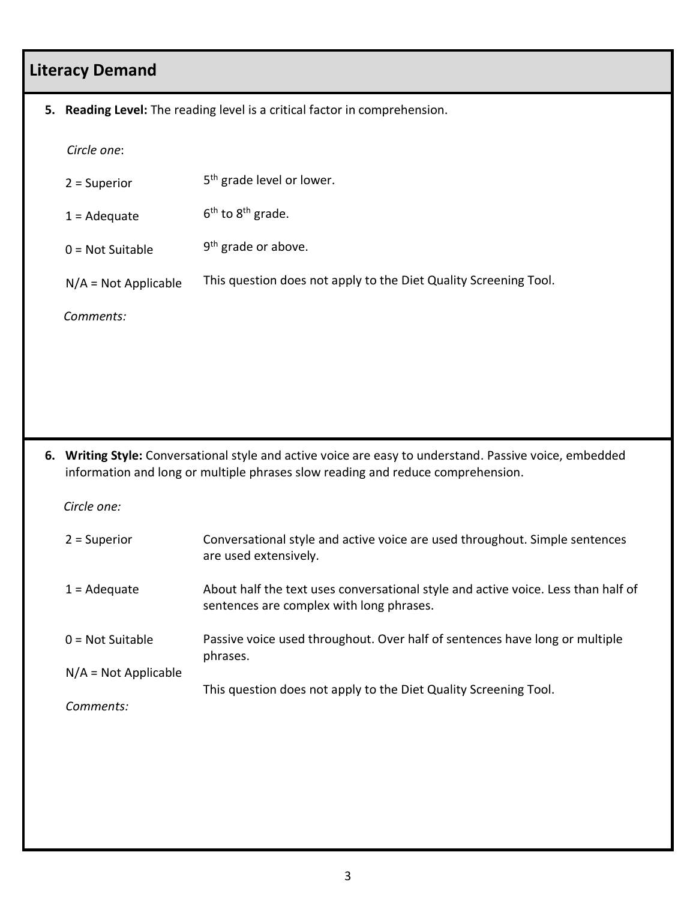## **Literacy Demand**

#### **5. Reading Level:** The reading level is a critical factor in comprehension.

 *Circle one*:

|    | $2 =$ Superior                                                                                                                                                                          | 5 <sup>th</sup> grade level or lower.                                                                |
|----|-----------------------------------------------------------------------------------------------------------------------------------------------------------------------------------------|------------------------------------------------------------------------------------------------------|
|    | $1 = \text{Adequate}$                                                                                                                                                                   | $6th$ to $8th$ grade.                                                                                |
|    | $0 = Not$ Suitable                                                                                                                                                                      | $9th$ grade or above.                                                                                |
|    | $N/A = Not Applicable$                                                                                                                                                                  | This question does not apply to the Diet Quality Screening Tool.                                     |
|    | Comments:                                                                                                                                                                               |                                                                                                      |
|    |                                                                                                                                                                                         |                                                                                                      |
|    |                                                                                                                                                                                         |                                                                                                      |
|    |                                                                                                                                                                                         |                                                                                                      |
| 6. | Writing Style: Conversational style and active voice are easy to understand. Passive voice, embedded<br>information and long or multiple phrases slow reading and reduce comprehension. |                                                                                                      |
|    | Circle one:                                                                                                                                                                             |                                                                                                      |
|    | $2 =$ Superior                                                                                                                                                                          | Conversational style and active voice are used throughout. Simple sentences<br>are used extensively. |

| $1 = \text{Adequate}$  | About half the text uses conversational style and active voice. Less than half of<br>sentences are complex with long phrases. |
|------------------------|-------------------------------------------------------------------------------------------------------------------------------|
| $0 = Not$ Suitable     | Passive voice used throughout. Over half of sentences have long or multiple<br>phrases.                                       |
| $N/A = Not Applicable$ |                                                                                                                               |

This question does not apply to the Diet Quality Screening Tool.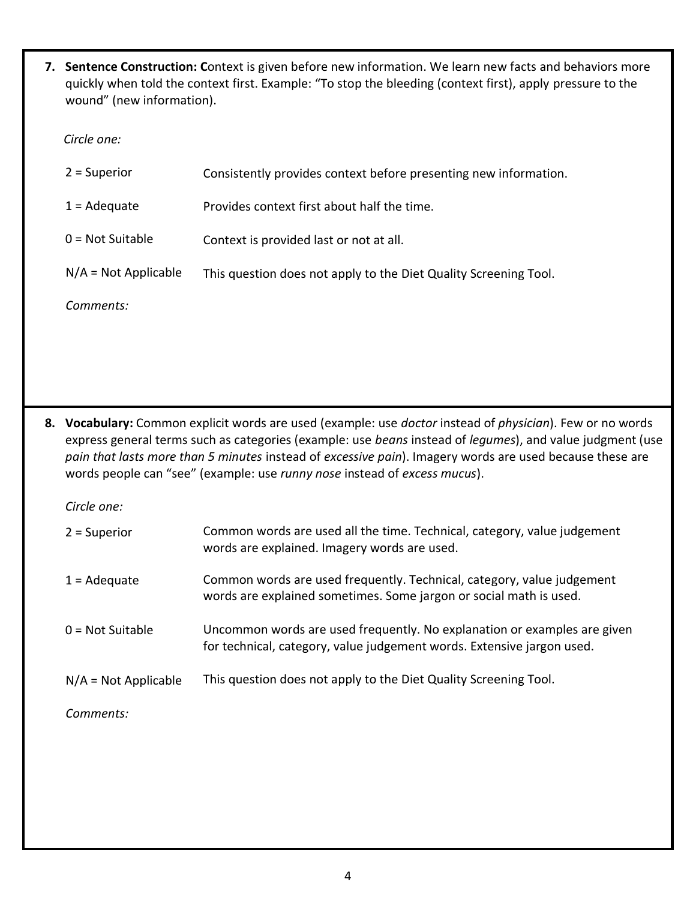**7. Sentence Construction: C**ontext is given before new information. We learn new facts and behaviors more quickly when told the context first. Example: "To stop the bleeding (context first), apply pressure to the wound" (new information).

 *Circle one:* 

| $2 =$ Superior         | Consistently provides context before presenting new information. |
|------------------------|------------------------------------------------------------------|
| $1 = \text{Adequate}$  | Provides context first about half the time.                      |
| $0 = Not$ Suitable     | Context is provided last or not at all.                          |
| $N/A = Not Applicable$ | This question does not apply to the Diet Quality Screening Tool. |
| Comments:              |                                                                  |

**8. Vocabulary:** Common explicit words are used (example: use *doctor* instead of *physician*). Few or no words express general terms such as categories (example: use *beans* instead of *legumes*), and value judgment (use *pain that lasts more than 5 minutes* instead of *excessive pain*). Imagery words are used because these are words people can "see" (example: use *runny nose* instead of *excess mucus*).

*Circle one:*

| $2 =$ Superior         | Common words are used all the time. Technical, category, value judgement<br>words are explained. Imagery words are used.                           |
|------------------------|----------------------------------------------------------------------------------------------------------------------------------------------------|
| $1 =$ Adequate         | Common words are used frequently. Technical, category, value judgement<br>words are explained sometimes. Some jargon or social math is used.       |
| $0 = Not$ Suitable     | Uncommon words are used frequently. No explanation or examples are given<br>for technical, category, value judgement words. Extensive jargon used. |
| $N/A = Not Applicable$ | This question does not apply to the Diet Quality Screening Tool.                                                                                   |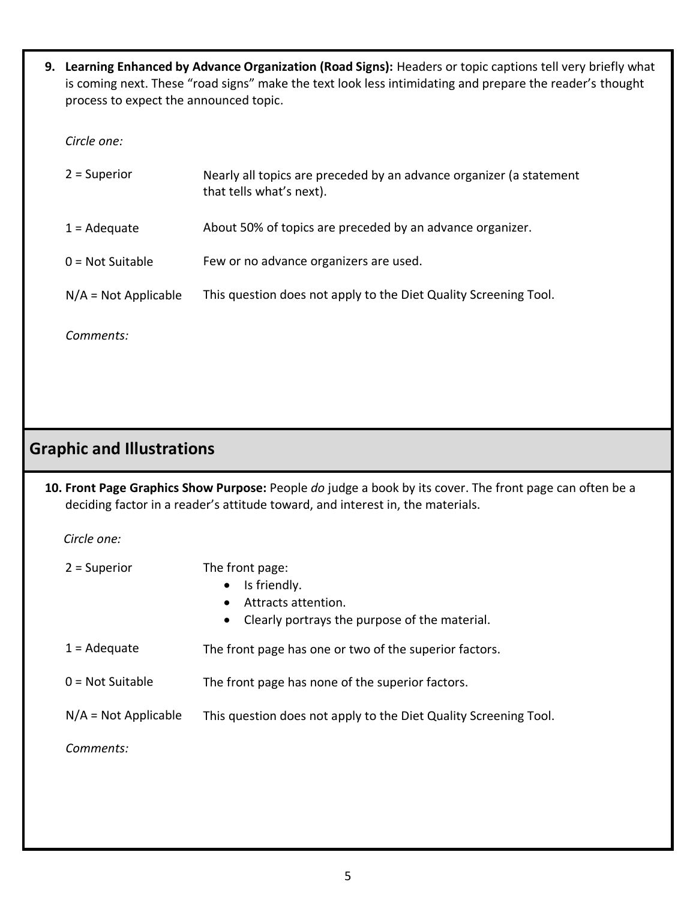**9. Learning Enhanced by Advance Organization (Road Signs):** Headers or topic captions tell very briefly what is coming next. These "road signs" make the text look less intimidating and prepare the reader's thought process to expect the announced topic.

*Circle one:* 

| $2 =$ Superior         | Nearly all topics are preceded by an advance organizer (a statement<br>that tells what's next). |
|------------------------|-------------------------------------------------------------------------------------------------|
| $1 = \text{Adequate}$  | About 50% of topics are preceded by an advance organizer.                                       |
| $0 = Not$ Suitable     | Few or no advance organizers are used.                                                          |
| $N/A = Not Applicable$ | This question does not apply to the Diet Quality Screening Tool.                                |
|                        |                                                                                                 |

*Comments:*

### **Graphic and Illustrations**

**10. Front Page Graphics Show Purpose:** People *do* judge a book by its cover. The front page can often be a deciding factor in a reader's attitude toward, and interest in, the materials.

| $2 =$ Superior         | The front page:<br>Is friendly.<br>$\bullet$<br>Attracts attention.<br>Clearly portrays the purpose of the material.<br>$\bullet$ |
|------------------------|-----------------------------------------------------------------------------------------------------------------------------------|
| $1 = \text{Adequate}$  | The front page has one or two of the superior factors.                                                                            |
| $0 = Not$ Suitable     | The front page has none of the superior factors.                                                                                  |
| $N/A = Not Applicable$ | This question does not apply to the Diet Quality Screening Tool.                                                                  |
| Comments:              |                                                                                                                                   |
|                        |                                                                                                                                   |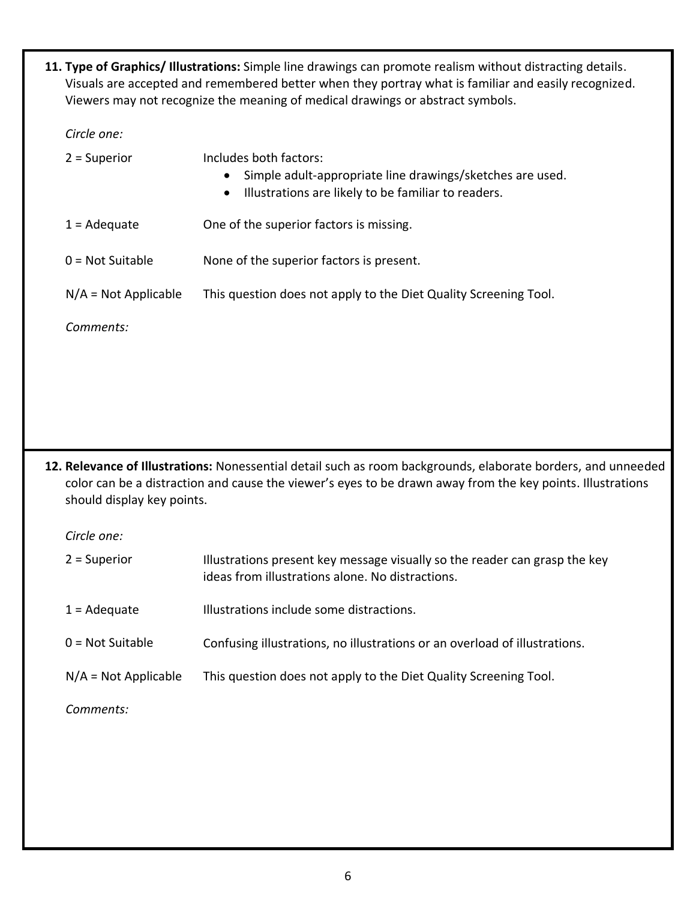**11. Type of Graphics/ Illustrations:** Simple line drawings can promote realism without distracting details. Visuals are accepted and remembered better when they portray what is familiar and easily recognized. Viewers may not recognize the meaning of medical drawings or abstract symbols.

*Circle one:* 

| $2 =$ Superior         | Includes both factors:<br>Simple adult-appropriate line drawings/sketches are used.<br>Illustrations are likely to be familiar to readers.<br>$\bullet$ |
|------------------------|---------------------------------------------------------------------------------------------------------------------------------------------------------|
| $1 =$ Adequate         | One of the superior factors is missing.                                                                                                                 |
| $0 = Not$ Suitable     | None of the superior factors is present.                                                                                                                |
| $N/A = Not Applicable$ | This question does not apply to the Diet Quality Screening Tool.                                                                                        |
| Comments:              |                                                                                                                                                         |

**12. Relevance of Illustrations:** Nonessential detail such as room backgrounds, elaborate borders, and unneeded color can be a distraction and cause the viewer's eyes to be drawn away from the key points. Illustrations should display key points.

*Circle one:* 

| $2 =$ Superior         | Illustrations present key message visually so the reader can grasp the key<br>ideas from illustrations alone. No distractions. |
|------------------------|--------------------------------------------------------------------------------------------------------------------------------|
| $1 = \text{Adequate}$  | Illustrations include some distractions.                                                                                       |
| $0 = Not$ Suitable     | Confusing illustrations, no illustrations or an overload of illustrations.                                                     |
| $N/A = Not Applicable$ | This question does not apply to the Diet Quality Screening Tool.                                                               |
|                        |                                                                                                                                |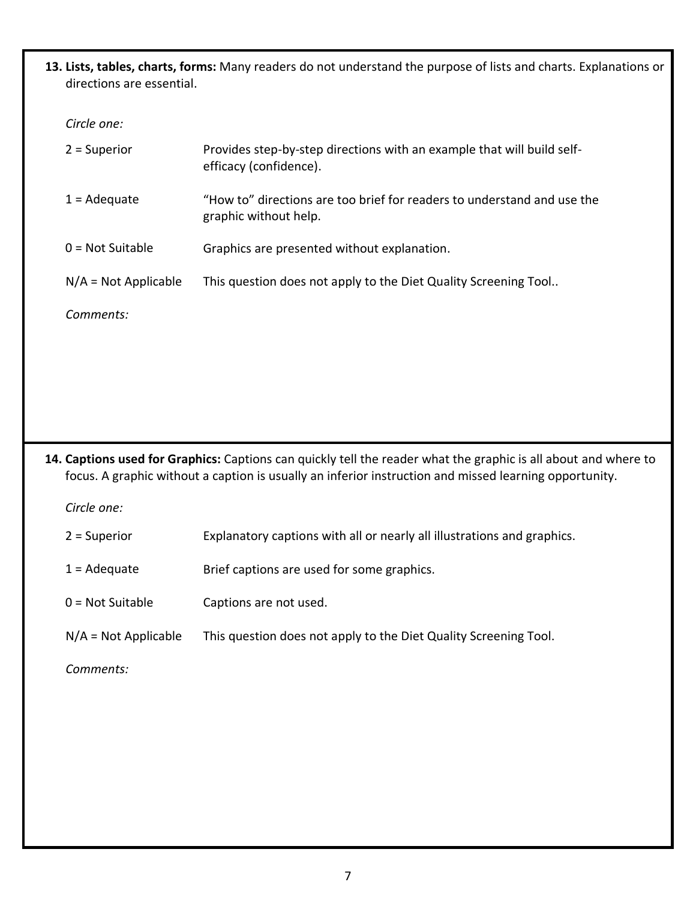**13. Lists, tables, charts, forms:** Many readers do not understand the purpose of lists and charts. Explanations or directions are essential.

#### *Circle one:*

| $2 =$ Superior         | Provides step-by-step directions with an example that will build self-<br>efficacy (confidence). |
|------------------------|--------------------------------------------------------------------------------------------------|
| $1 = \text{Adequate}$  | "How to" directions are too brief for readers to understand and use the<br>graphic without help. |
| $0 = Not$ Suitable     | Graphics are presented without explanation.                                                      |
| $N/A = Not Applicable$ | This question does not apply to the Diet Quality Screening Tool                                  |
| Comments:              |                                                                                                  |

**14. Captions used for Graphics:** Captions can quickly tell the reader what the graphic is all about and where to focus. A graphic without a caption is usually an inferior instruction and missed learning opportunity.

| $2 =$ Superior         | Explanatory captions with all or nearly all illustrations and graphics. |
|------------------------|-------------------------------------------------------------------------|
| $1 = \text{Adequate}$  | Brief captions are used for some graphics.                              |
| $0 = Not$ Suitable     | Captions are not used.                                                  |
| $N/A = Not Applicable$ | This question does not apply to the Diet Quality Screening Tool.        |
| Comments:              |                                                                         |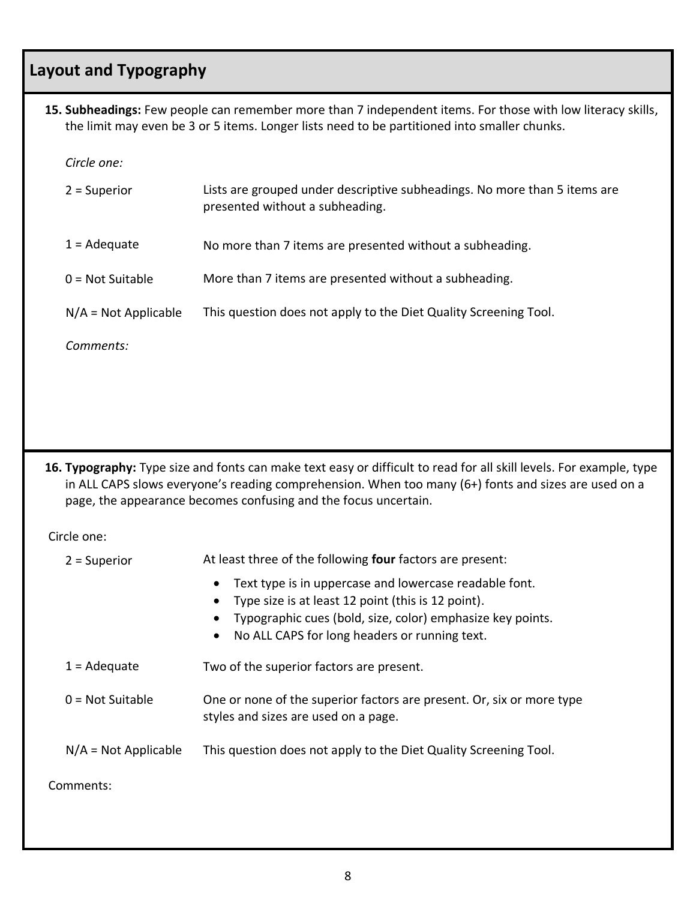## **Layout and Typography**

**15. Subheadings:** Few people can remember more than 7 independent items. For those with low literacy skills, the limit may even be 3 or 5 items. Longer lists need to be partitioned into smaller chunks.

*Circle one:*

| $2 =$ Superior         | Lists are grouped under descriptive subheadings. No more than 5 items are<br>presented without a subheading. |
|------------------------|--------------------------------------------------------------------------------------------------------------|
| $1 = \text{Adequate}$  | No more than 7 items are presented without a subheading.                                                     |
| $0 = Not$ Suitable     | More than 7 items are presented without a subheading.                                                        |
| $N/A = Not Applicable$ | This question does not apply to the Diet Quality Screening Tool.                                             |
| Comments:              |                                                                                                              |

**16. Typography:** Type size and fonts can make text easy or difficult to read for all skill levels. For example, type in ALL CAPS slows everyone's reading comprehension. When too many (6+) fonts and sizes are used on a page, the appearance becomes confusing and the focus uncertain.

| $2 =$ Superior         | At least three of the following four factors are present:                                                                                                                                                                                             |
|------------------------|-------------------------------------------------------------------------------------------------------------------------------------------------------------------------------------------------------------------------------------------------------|
|                        | Text type is in uppercase and lowercase readable font.<br>$\bullet$<br>Type size is at least 12 point (this is 12 point).<br>Typographic cues (bold, size, color) emphasize key points.<br>No ALL CAPS for long headers or running text.<br>$\bullet$ |
| $1 = \text{Adequate}$  | Two of the superior factors are present.                                                                                                                                                                                                              |
| $0 = Not$ Suitable     | One or none of the superior factors are present. Or, six or more type<br>styles and sizes are used on a page.                                                                                                                                         |
| $N/A = Not Applicable$ | This question does not apply to the Diet Quality Screening Tool.                                                                                                                                                                                      |
| Comments:              |                                                                                                                                                                                                                                                       |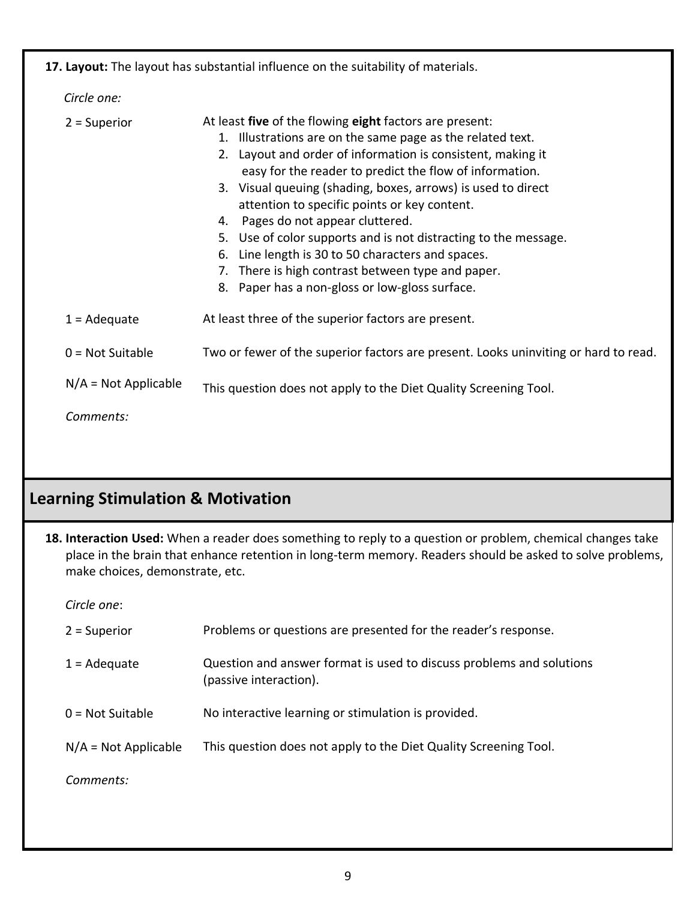|                                     | 17. Layout: The layout has substantial influence on the suitability of materials.                                                                                                                                                                                                                                                                                                                                                                                                                                                                                                                                                      |
|-------------------------------------|----------------------------------------------------------------------------------------------------------------------------------------------------------------------------------------------------------------------------------------------------------------------------------------------------------------------------------------------------------------------------------------------------------------------------------------------------------------------------------------------------------------------------------------------------------------------------------------------------------------------------------------|
| Circle one:                         |                                                                                                                                                                                                                                                                                                                                                                                                                                                                                                                                                                                                                                        |
| $2 =$ Superior                      | At least five of the flowing eight factors are present:<br>1. Illustrations are on the same page as the related text.<br>2. Layout and order of information is consistent, making it<br>easy for the reader to predict the flow of information.<br>3. Visual queuing (shading, boxes, arrows) is used to direct<br>attention to specific points or key content.<br>4. Pages do not appear cluttered.<br>5. Use of color supports and is not distracting to the message.<br>Line length is 30 to 50 characters and spaces.<br>6.<br>7. There is high contrast between type and paper.<br>8. Paper has a non-gloss or low-gloss surface. |
| $1 = \text{Adequate}$               | At least three of the superior factors are present.                                                                                                                                                                                                                                                                                                                                                                                                                                                                                                                                                                                    |
| $0 = Not$ Suitable                  | Two or fewer of the superior factors are present. Looks uninviting or hard to read.                                                                                                                                                                                                                                                                                                                                                                                                                                                                                                                                                    |
| $N/A = Not Applicable$<br>Comments: | This question does not apply to the Diet Quality Screening Tool.                                                                                                                                                                                                                                                                                                                                                                                                                                                                                                                                                                       |
|                                     |                                                                                                                                                                                                                                                                                                                                                                                                                                                                                                                                                                                                                                        |

# **Learning Stimulation & Motivation**

**18. Interaction Used:** When a reader does something to reply to a question or problem, chemical changes take place in the brain that enhance retention in long-term memory. Readers should be asked to solve problems, make choices, demonstrate, etc.

| $2 =$ Superior         | Problems or questions are presented for the reader's response.                                 |
|------------------------|------------------------------------------------------------------------------------------------|
| $1 = \text{Adequate}$  | Question and answer format is used to discuss problems and solutions<br>(passive interaction). |
| $0 = Not$ Suitable     | No interactive learning or stimulation is provided.                                            |
| $N/A = Not Applicable$ | This question does not apply to the Diet Quality Screening Tool.                               |
| Comments:              |                                                                                                |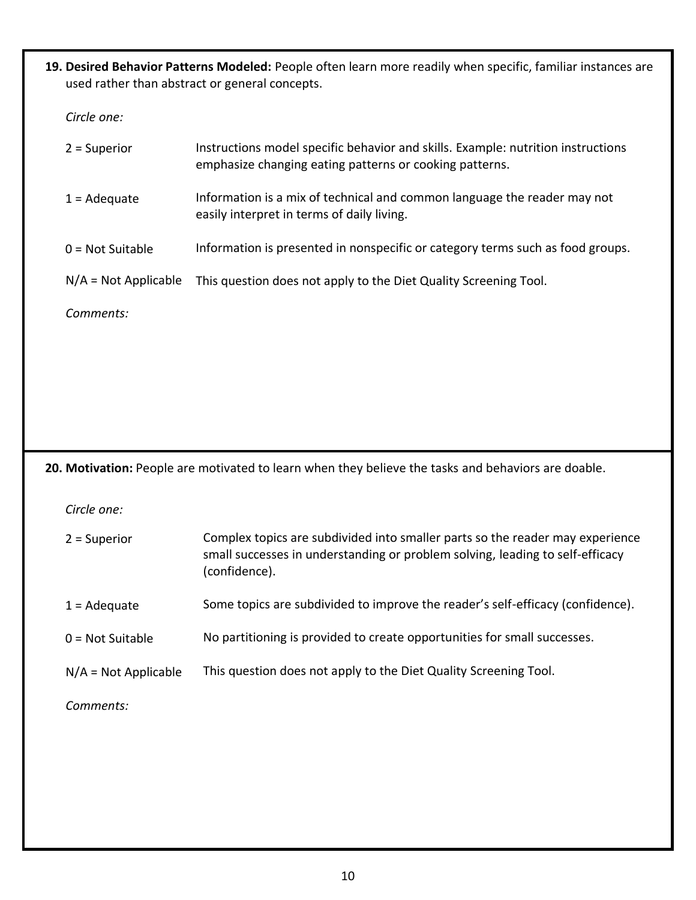**19. Desired Behavior Patterns Modeled:** People often learn more readily when specific, familiar instances are used rather than abstract or general concepts.

*Circle one:*

| $2 =$ Superior         | Instructions model specific behavior and skills. Example: nutrition instructions<br>emphasize changing eating patterns or cooking patterns. |
|------------------------|---------------------------------------------------------------------------------------------------------------------------------------------|
| $1 = \text{Adequate}$  | Information is a mix of technical and common language the reader may not<br>easily interpret in terms of daily living.                      |
| $0 = Not$ Suitable     | Information is presented in nonspecific or category terms such as food groups.                                                              |
| $N/A = Not Applicable$ | This question does not apply to the Diet Quality Screening Tool.                                                                            |
| Comments:              |                                                                                                                                             |
|                        |                                                                                                                                             |
|                        |                                                                                                                                             |
|                        |                                                                                                                                             |
|                        |                                                                                                                                             |

**20. Motivation:** People are motivated to learn when they believe the tasks and behaviors are doable.

*Circle one:*

| $2 =$ Superior         | Complex topics are subdivided into smaller parts so the reader may experience<br>small successes in understanding or problem solving, leading to self-efficacy<br>(confidence). |
|------------------------|---------------------------------------------------------------------------------------------------------------------------------------------------------------------------------|
| $1 = \text{Adequate}$  | Some topics are subdivided to improve the reader's self-efficacy (confidence).                                                                                                  |
| $0 = Not$ Suitable     | No partitioning is provided to create opportunities for small successes.                                                                                                        |
| $N/A = Not Applicable$ | This question does not apply to the Diet Quality Screening Tool.                                                                                                                |